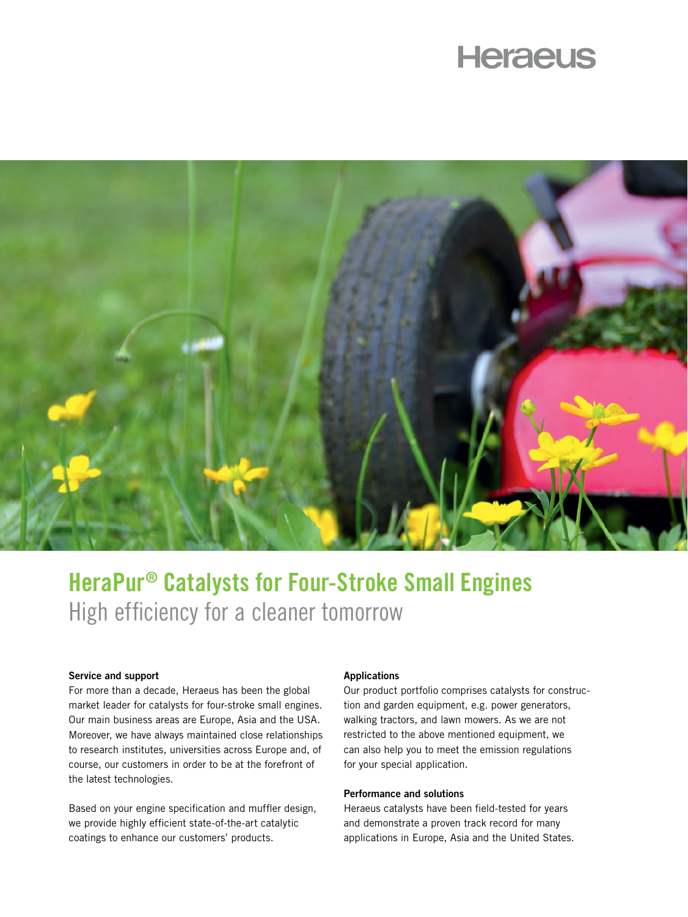# **Heraeus**



# HeraPur® Catalysts for Four-Stroke Small Engines High efficiency for a cleaner tomorrow

# Service and support

For more than a decade, Heraeus has been the global market leader for catalysts for four-stroke small engines. Our main business areas are Europe, Asia and the USA. Moreover, we have always maintained close relationships to research institutes, universities across Europe and, of course, our customers in order to be at the forefront of the latest technologies.

Based on your engine specification and muffler design, we provide highly efficient state-of-the-art catalytic coatings to enhance our customers' products.

#### Applications

Our product portfolio comprises catalysts for construction and garden equipment, e.g. power generators, walking tractors, and lawn mowers. As we are not restricted to the above mentioned equipment, we can also help you to meet the emission regulations for your special application.

# Performance and solutions

Heraeus catalysts have been field-tested for years and demonstrate a proven track record for many applications in Europe, Asia and the United States.